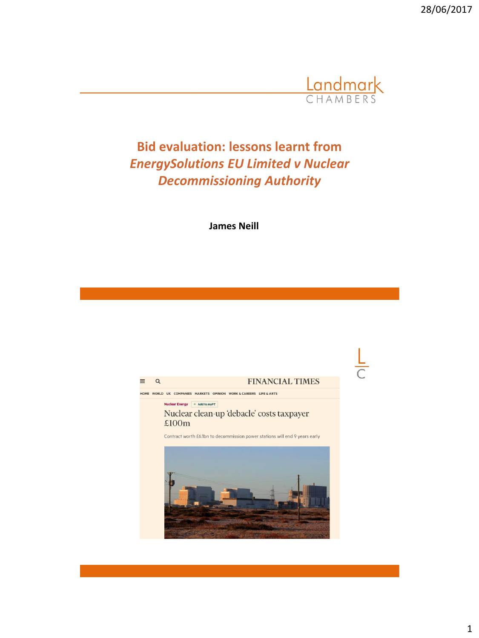28/06/2017



**Bid evaluation: lessons learnt from**  *EnergySolutions EU Limited v Nuclear Decommissioning Authority* 

**James Neill**

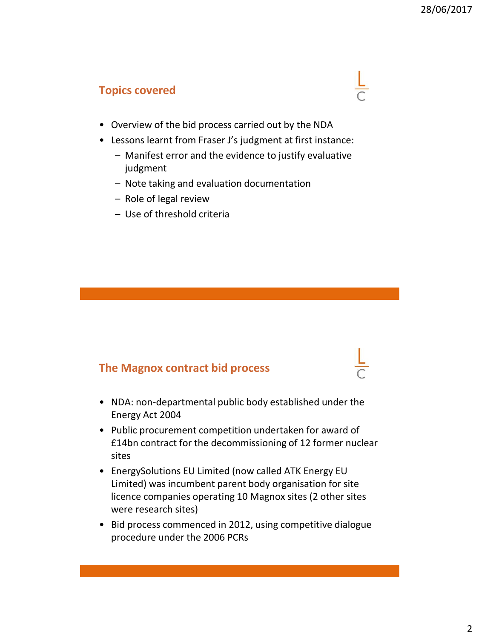#### **Topics covered**

- Overview of the bid process carried out by the NDA
- Lessons learnt from Fraser J's judgment at first instance:
	- Manifest error and the evidence to justify evaluative judgment
	- Note taking and evaluation documentation
	- Role of legal review
	- Use of threshold criteria

#### **The Magnox contract bid process**

- NDA: non-departmental public body established under the Energy Act 2004
- Public procurement competition undertaken for award of £14bn contract for the decommissioning of 12 former nuclear sites
- EnergySolutions EU Limited (now called ATK Energy EU Limited) was incumbent parent body organisation for site licence companies operating 10 Magnox sites (2 other sites were research sites)
- Bid process commenced in 2012, using competitive dialogue procedure under the 2006 PCRs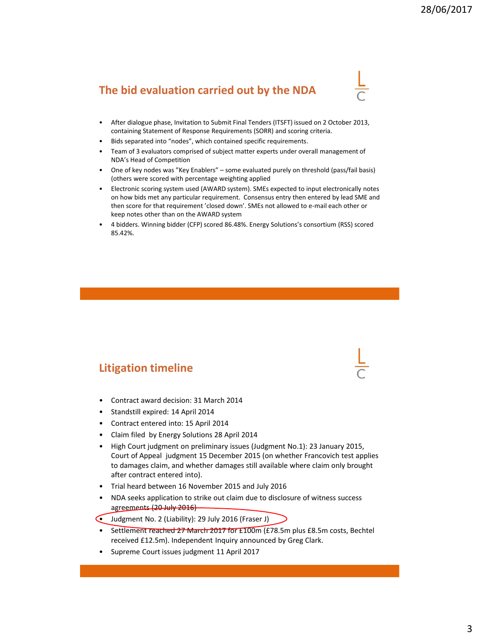# **The bid evaluation carried out by the NDA**



- After dialogue phase, Invitation to Submit Final Tenders (ITSFT) issued on 2 October 2013, containing Statement of Response Requirements (SORR) and scoring criteria.
- Bids separated into "nodes", which contained specific requirements.
- Team of 3 evaluators comprised of subject matter experts under overall management of NDA's Head of Competition
- One of key nodes was "Key Enablers" some evaluated purely on threshold (pass/fail basis) (others were scored with percentage weighting applied
- Electronic scoring system used (AWARD system). SMEs expected to input electronically notes on how bids met any particular requirement. Consensus entry then entered by lead SME and then score for that requirement 'closed down'. SMEs not allowed to e-mail each other or keep notes other than on the AWARD system
- 4 bidders. Winning bidder (CFP) scored 86.48%. Energy Solutions's consortium (RSS) scored 85.42%.

#### **Litigation timeline**

- Contract award decision: 31 March 2014
- Standstill expired: 14 April 2014
- Contract entered into: 15 April 2014
- Claim filed by Energy Solutions 28 April 2014
- High Court judgment on preliminary issues (Judgment No.1): 23 January 2015, Court of Appeal judgment 15 December 2015 (on whether Francovich test applies to damages claim, and whether damages still available where claim only brought after contract entered into).
- Trial heard between 16 November 2015 and July 2016
- NDA seeks application to strike out claim due to disclosure of witness success agreements (20 July 2016)
- Judgment No. 2 (Liability): 29 July 2016 (Fraser J)
- Settlement reached 27 March 2017 for £100m (£78.5m plus £8.5m costs, Bechtel received £12.5m). Independent Inquiry announced by Greg Clark.
- Supreme Court issues judgment 11 April 2017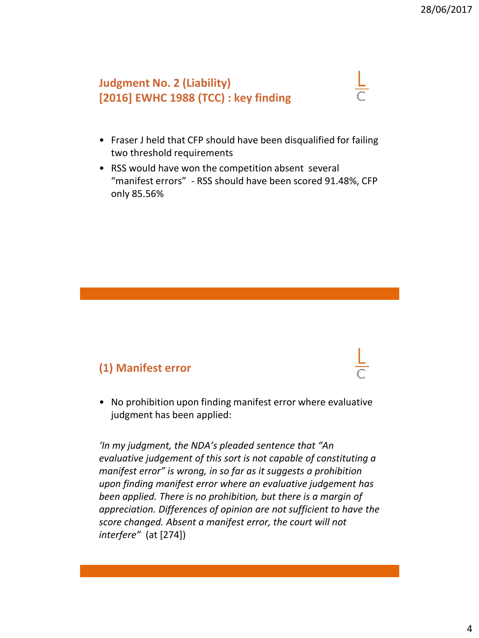# **Judgment No. 2 (Liability) [2016] EWHC 1988 (TCC) : key finding**

- Fraser J held that CFP should have been disqualified for failing two threshold requirements
- RSS would have won the competition absent several "manifest errors" - RSS should have been scored 91.48%, CFP only 85.56%

## **(1) Manifest error**

• No prohibition upon finding manifest error where evaluative judgment has been applied:

*'In my judgment, the NDA's pleaded sentence that "An evaluative judgement of this sort is not capable of constituting a manifest error" is wrong, in so far as it suggests a prohibition upon finding manifest error where an evaluative judgement has been applied. There is no prohibition, but there is a margin of appreciation. Differences of opinion are not sufficient to have the score changed. Absent a manifest error, the court will not interfere"* (at [274])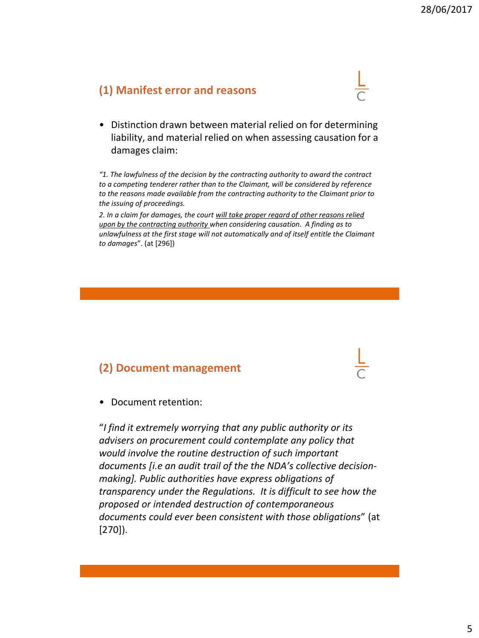## **(1) Manifest error and reasons**



• Distinction drawn between material relied on for determining liability, and material relied on when assessing causation for a damages claim:

*"1. The lawfulness of the decision by the contracting authority to award the contract to a competing tenderer rather than to the Claimant, will be considered by reference to the reasons made available from the contracting authority to the Claimant prior to the issuing of proceedings.*

*2. In a claim for damages, the court will take proper regard of other reasons relied upon by the contracting authority when considering causation. A finding as to unlawfulness at the first stage will not automatically and of itself entitle the Claimant to damages*". (at [296])

## **(2) Document management**

• Document retention:

"*I find it extremely worrying that any public authority or its advisers on procurement could contemplate any policy that would involve the routine destruction of such important documents [i.e an audit trail of the the NDA's collective decisionmaking]. Public authorities have express obligations of transparency under the Regulations. It is difficult to see how the proposed or intended destruction of contemporaneous documents could ever been consistent with those obligations*" (at [270]).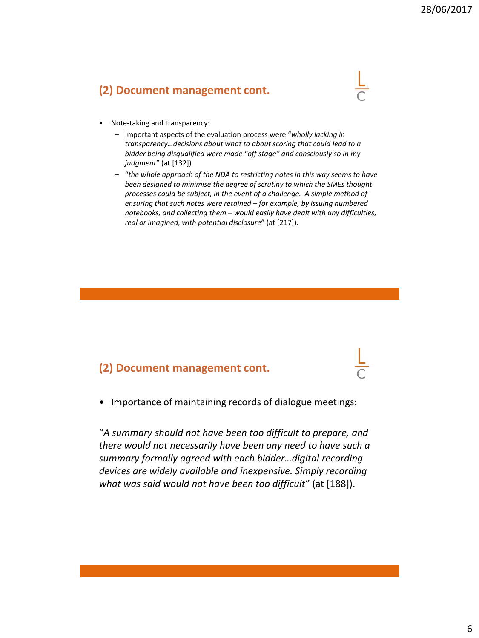## **(2) Document management cont.**

- Note-taking and transparency:
	- Important aspects of the evaluation process were "*wholly lacking in transparency…decisions about what to about scoring that could lead to a bidder being disqualified were made "off stage" and consciously so in my judgment*" (at [132])
	- "*the whole approach of the NDA to restricting notes in this way seems to have been designed to minimise the degree of scrutiny to which the SMEs thought processes could be subject, in the event of a challenge. A simple method of ensuring that such notes were retained – for example, by issuing numbered notebooks, and collecting them – would easily have dealt with any difficulties, real or imagined, with potential disclosure*" (at [217]).

#### **(2) Document management cont.**

• Importance of maintaining records of dialogue meetings:

"*A summary should not have been too difficult to prepare, and there would not necessarily have been any need to have such a summary formally agreed with each bidder…digital recording devices are widely available and inexpensive. Simply recording what was said would not have been too difficult*" (at [188]).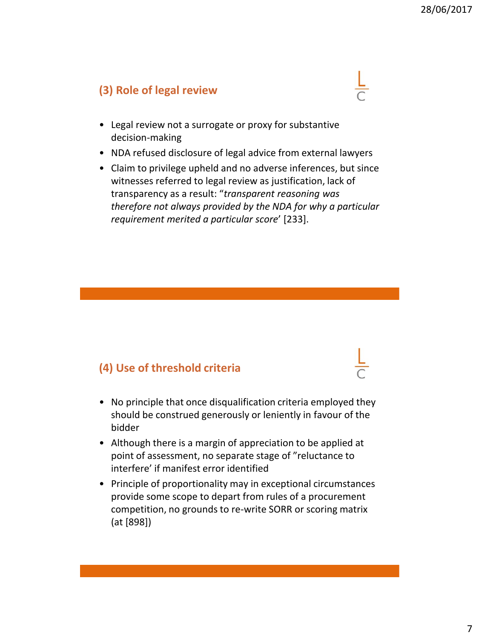## **(3) Role of legal review**



- NDA refused disclosure of legal advice from external lawyers
- Claim to privilege upheld and no adverse inferences, but since witnesses referred to legal review as justification, lack of transparency as a result: "*transparent reasoning was therefore not always provided by the NDA for why a particular requirement merited a particular score*' [233].

## **(4) Use of threshold criteria**

- No principle that once disqualification criteria employed they should be construed generously or leniently in favour of the bidder
- Although there is a margin of appreciation to be applied at point of assessment, no separate stage of "reluctance to interfere' if manifest error identified
- Principle of proportionality may in exceptional circumstances provide some scope to depart from rules of a procurement competition, no grounds to re-write SORR or scoring matrix (at [898])